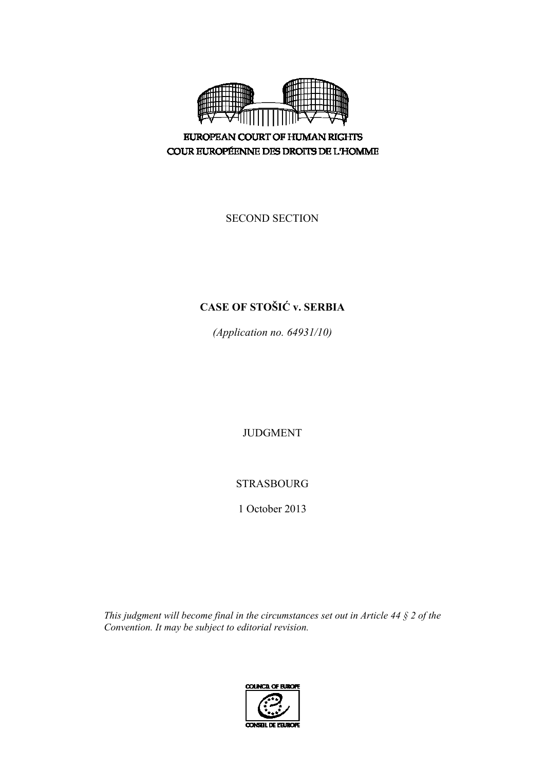

**EUROPEAN COURT OF HUMAN RIGHTS** COUR EUROPÉENNE DES DROITS DE L'HOMME

SECOND SECTION

# **CASE OF STOŠIĆ v. SERBIA**

*(Application no. 64931/10)* 

JUDGMENT

STRASBOURG

1 October 2013

*This judgment will become final in the circumstances set out in Article 44 § 2 of the Convention. It may be subject to editorial revision.* 

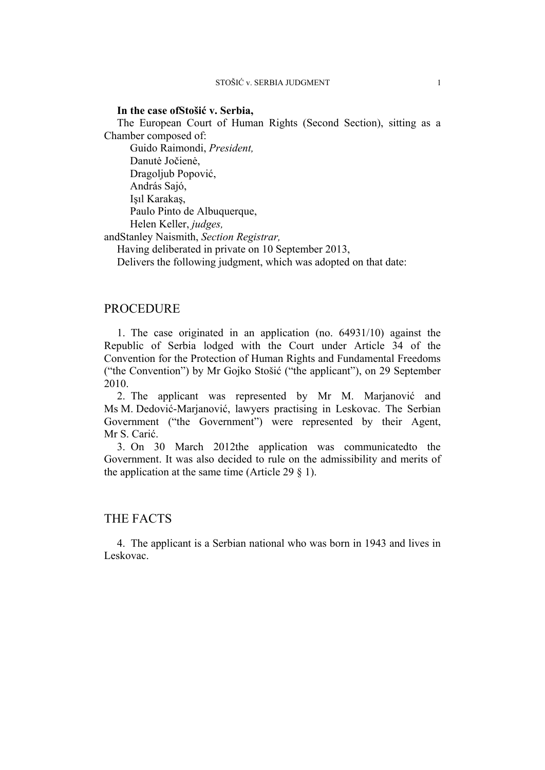### **In the case ofStošić v. Serbia,**

The European Court of Human Rights (Second Section), sitting as a Chamber composed of:

Guido Raimondi, *President,*  Danutė Jočienė, Dragoljub Popović, András Sajó, Işıl Karakaş, Paulo Pinto de Albuquerque, Helen Keller, *judges,*

andStanley Naismith, *Section Registrar,*

Having deliberated in private on 10 September 2013,

Delivers the following judgment, which was adopted on that date:

# PROCEDURE

1. The case originated in an application (no. 64931/10) against the Republic of Serbia lodged with the Court under Article 34 of the Convention for the Protection of Human Rights and Fundamental Freedoms ("the Convention") by Mr Gojko Stošić ("the applicant"), on 29 September 2010.

2. The applicant was represented by Mr M. Marjanović and Ms M. Dedović-Marjanović, lawyers practising in Leskovac. The Serbian Government ("the Government") were represented by their Agent, Mr S. Carić.

3. On 30 March 2012the application was communicatedto the Government. It was also decided to rule on the admissibility and merits of the application at the same time (Article 29  $\S$  1).

# THE FACTS

4. The applicant is a Serbian national who was born in 1943 and lives in Leskovac.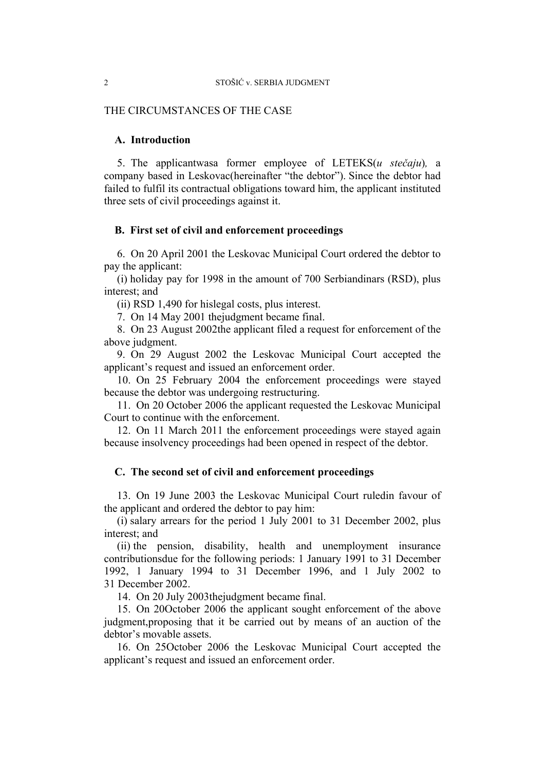# THE CIRCUMSTANCES OF THE CASE

# **A. Introduction**

5. The applicantwasa former employee of LETEKS(*u stečaju*)*,* a company based in Leskovac(hereinafter "the debtor"). Since the debtor had failed to fulfil its contractual obligations toward him, the applicant instituted three sets of civil proceedings against it.

### **B. First set of civil and enforcement proceedings**

6. On 20 April 2001 the Leskovac Municipal Court ordered the debtor to pay the applicant:

(i) holiday pay for 1998 in the amount of 700 Serbiandinars (RSD), plus interest; and

(ii) RSD 1,490 for hislegal costs, plus interest.

7. On 14 May 2001 thejudgment became final.

8. On 23 August 2002the applicant filed a request for enforcement of the above judgment.

9. On 29 August 2002 the Leskovac Municipal Court accepted the applicant's request and issued an enforcement order.

10. On 25 February 2004 the enforcement proceedings were stayed because the debtor was undergoing restructuring.

11. On 20 October 2006 the applicant requested the Leskovac Municipal Court to continue with the enforcement.

12. On 11 March 2011 the enforcement proceedings were stayed again because insolvency proceedings had been opened in respect of the debtor.

# **C. The second set of civil and enforcement proceedings**

13. On 19 June 2003 the Leskovac Municipal Court ruledin favour of the applicant and ordered the debtor to pay him:

(i) salary arrears for the period 1 July 2001 to 31 December 2002, plus interest; and

(ii) the pension, disability, health and unemployment insurance contributionsdue for the following periods: 1 January 1991 to 31 December 1992, 1 January 1994 to 31 December 1996, and 1 July 2002 to 31 December 2002.

14. On 20 July 2003thejudgment became final.

15. On 20October 2006 the applicant sought enforcement of the above judgment,proposing that it be carried out by means of an auction of the debtor's movable assets.

16. On 25October 2006 the Leskovac Municipal Court accepted the applicant's request and issued an enforcement order.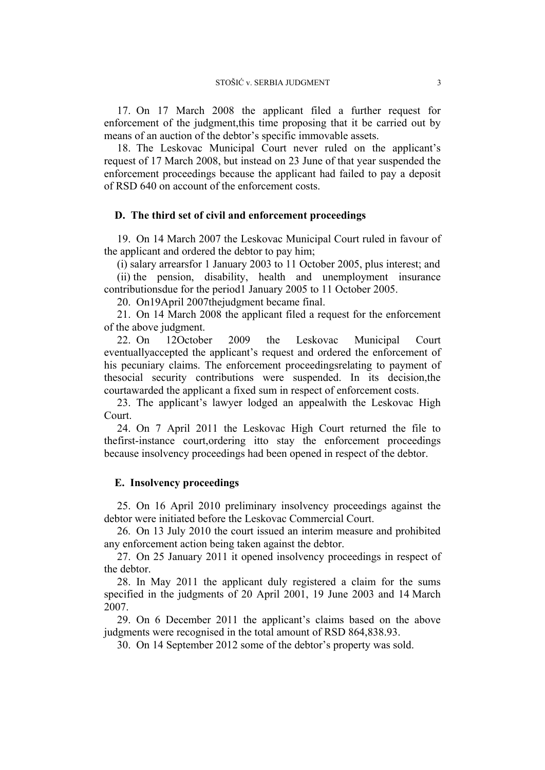17. On 17 March 2008 the applicant filed a further request for enforcement of the judgment,this time proposing that it be carried out by means of an auction of the debtor's specific immovable assets.

18. The Leskovac Municipal Court never ruled on the applicant's request of 17 March 2008, but instead on 23 June of that year suspended the enforcement proceedings because the applicant had failed to pay a deposit of RSD 640 on account of the enforcement costs.

### **D. The third set of civil and enforcement proceedings**

19. On 14 March 2007 the Leskovac Municipal Court ruled in favour of the applicant and ordered the debtor to pay him;

(i) salary arrearsfor 1 January 2003 to 11 October 2005, plus interest; and (ii) the pension, disability, health and unemployment insurance contributionsdue for the period1 January 2005 to 11 October 2005.

20. On19April 2007thejudgment became final.

21. On 14 March 2008 the applicant filed a request for the enforcement of the above judgment.

22. On 12October 2009 the Leskovac Municipal Court eventuallyaccepted the applicant's request and ordered the enforcement of his pecuniary claims. The enforcement proceedingsrelating to payment of thesocial security contributions were suspended. In its decision,the courtawarded the applicant a fixed sum in respect of enforcement costs.

23. The applicant's lawyer lodged an appealwith the Leskovac High Court.

24. On 7 April 2011 the Leskovac High Court returned the file to thefirst-instance court,ordering itto stay the enforcement proceedings because insolvency proceedings had been opened in respect of the debtor.

#### **E. Insolvency proceedings**

25. On 16 April 2010 preliminary insolvency proceedings against the debtor were initiated before the Leskovac Commercial Court.

26. On 13 July 2010 the court issued an interim measure and prohibited any enforcement action being taken against the debtor.

27. On 25 January 2011 it opened insolvency proceedings in respect of the debtor.

28. In May 2011 the applicant duly registered a claim for the sums specified in the judgments of 20 April 2001, 19 June 2003 and 14 March 2007.

29. On 6 December 2011 the applicant's claims based on the above judgments were recognised in the total amount of RSD 864,838.93.

30. On 14 September 2012 some of the debtor's property was sold.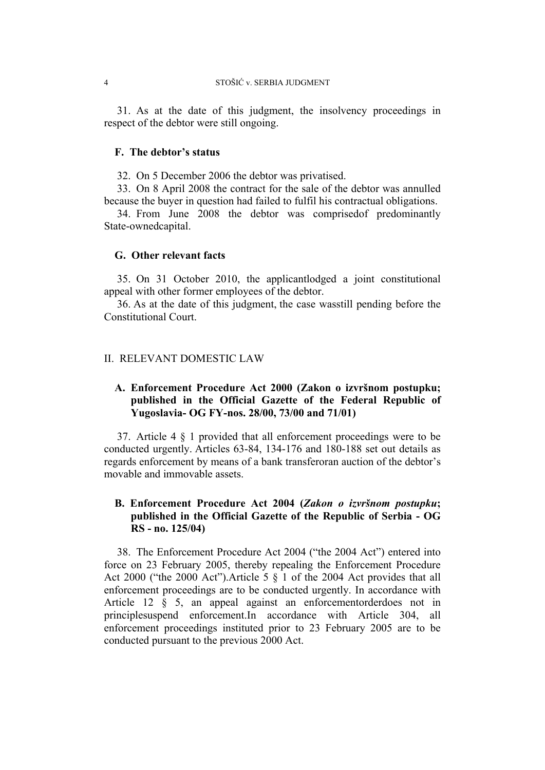31. As at the date of this judgment, the insolvency proceedings in respect of the debtor were still ongoing.

## **F. The debtor's status**

32. On 5 December 2006 the debtor was privatised.

33. On 8 April 2008 the contract for the sale of the debtor was annulled because the buyer in question had failed to fulfil his contractual obligations.

34. From June 2008 the debtor was comprisedof predominantly State-ownedcapital.

# **G. Other relevant facts**

35. On 31 October 2010, the applicantlodged a joint constitutional appeal with other former employees of the debtor.

36. As at the date of this judgment, the case wasstill pending before the Constitutional Court.

## II. RELEVANT DOMESTIC LAW

# **A. Enforcement Procedure Act 2000 (Zakon o izvršnom postupku; published in the Official Gazette of the Federal Republic of Yugoslavia- OG FY-nos. 28/00, 73/00 and 71/01)**

37. Article 4 § 1 provided that all enforcement proceedings were to be conducted urgently. Articles 63-84, 134-176 and 180-188 set out details as regards enforcement by means of a bank transferoran auction of the debtor's movable and immovable assets.

# **B. Enforcement Procedure Act 2004 (***Zakon o izvršnom postupku***; published in the Official Gazette of the Republic of Serbia - OG RS - no. 125/04)**

38. The Enforcement Procedure Act 2004 ("the 2004 Act") entered into force on 23 February 2005, thereby repealing the Enforcement Procedure Act 2000 ("the 2000 Act"). Article  $5 \nvert 3 \nvert 1$  of the 2004 Act provides that all enforcement proceedings are to be conducted urgently. In accordance with Article 12 § 5, an appeal against an enforcementorderdoes not in principlesuspend enforcement.In accordance with Article 304, all enforcement proceedings instituted prior to 23 February 2005 are to be conducted pursuant to the previous 2000 Act.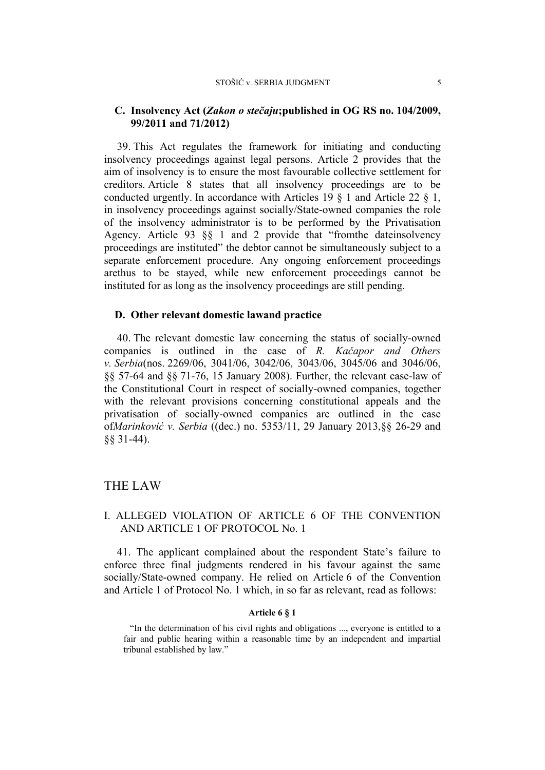#### STOŠIĆ v. SERBIA JUDGMENT 5

# **C. Insolvency Act (***Zakon o stečaju***;published in OG RS no. 104/2009, 99/2011 and 71/2012)**

39. This Act regulates the framework for initiating and conducting insolvency proceedings against legal persons. Article 2 provides that the aim of insolvency is to ensure the most favourable collective settlement for creditors. Article 8 states that all insolvency proceedings are to be conducted urgently. In accordance with Articles 19  $\frac{1}{9}$  and Article 22  $\frac{1}{9}$ , in insolvency proceedings against socially/State-owned companies the role of the insolvency administrator is to be performed by the Privatisation Agency. Article 93 §§ 1 and 2 provide that "fromthe dateinsolvency proceedings are instituted" the debtor cannot be simultaneously subject to a separate enforcement procedure. Any ongoing enforcement proceedings arethus to be stayed, while new enforcement proceedings cannot be instituted for as long as the insolvency proceedings are still pending.

### **D. Other relevant domestic lawand practice**

40. The relevant domestic law concerning the status of socially-owned companies is outlined in the case of *R. Kačapor and Others v. Serbia*(nos. 2269/06, 3041/06, 3042/06, 3043/06, 3045/06 and 3046/06, §§ 57-64 and §§ 71-76, 15 January 2008). Further, the relevant case-law of the Constitutional Court in respect of socially-owned companies, together with the relevant provisions concerning constitutional appeals and the privatisation of socially-owned companies are outlined in the case of*Marinković v. Serbia* ((dec.) no. 5353/11, 29 January 2013,§§ 26-29 and §§ 31-44).

# THE LAW

# I. ALLEGED VIOLATION OF ARTICLE 6 OF THE CONVENTION AND ARTICLE 1 OF PROTOCOL No. 1

41. The applicant complained about the respondent State's failure to enforce three final judgments rendered in his favour against the same socially/State-owned company. He relied on Article 6 of the Convention and Article 1 of Protocol No. 1 which, in so far as relevant, read as follows:

### **Article 6 § 1**

<sup>&</sup>quot;In the determination of his civil rights and obligations ..., everyone is entitled to a fair and public hearing within a reasonable time by an independent and impartial tribunal established by law."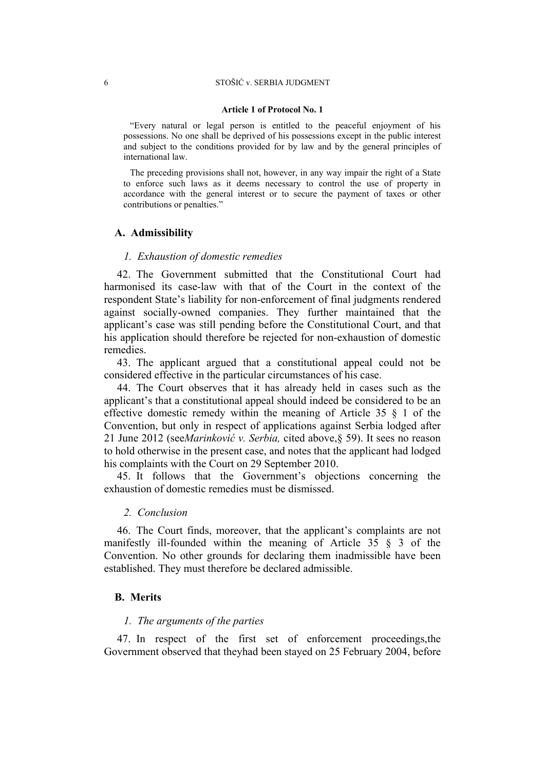#### 6 STOŠIĆ v. SERBIA JUDGMENT

#### **Article 1 of Protocol No. 1**

"Every natural or legal person is entitled to the peaceful enjoyment of his possessions. No one shall be deprived of his possessions except in the public interest and subject to the conditions provided for by law and by the general principles of international law.

The preceding provisions shall not, however, in any way impair the right of a State to enforce such laws as it deems necessary to control the use of property in accordance with the general interest or to secure the payment of taxes or other contributions or penalties."

#### **A. Admissibility**

#### *1. Exhaustion of domestic remedies*

42. The Government submitted that the Constitutional Court had harmonised its case-law with that of the Court in the context of the respondent State's liability for non-enforcement of final judgments rendered against socially-owned companies. They further maintained that the applicant's case was still pending before the Constitutional Court, and that his application should therefore be rejected for non-exhaustion of domestic remedies.

43. The applicant argued that a constitutional appeal could not be considered effective in the particular circumstances of his case.

44. The Court observes that it has already held in cases such as the applicant's that a constitutional appeal should indeed be considered to be an effective domestic remedy within the meaning of Article 35 § 1 of the Convention, but only in respect of applications against Serbia lodged after 21 June 2012 (see*Marinković v. Serbia,* cited above,§ 59). It sees no reason to hold otherwise in the present case, and notes that the applicant had lodged his complaints with the Court on 29 September 2010.

45. It follows that the Government's objections concerning the exhaustion of domestic remedies must be dismissed.

#### *2. Conclusion*

46. The Court finds, moreover, that the applicant's complaints are not manifestly ill-founded within the meaning of Article 35 § 3 of the Convention. No other grounds for declaring them inadmissible have been established. They must therefore be declared admissible.

## **B. Merits**

## *1. The arguments of the parties*

47. In respect of the first set of enforcement proceedings,the Government observed that theyhad been stayed on 25 February 2004, before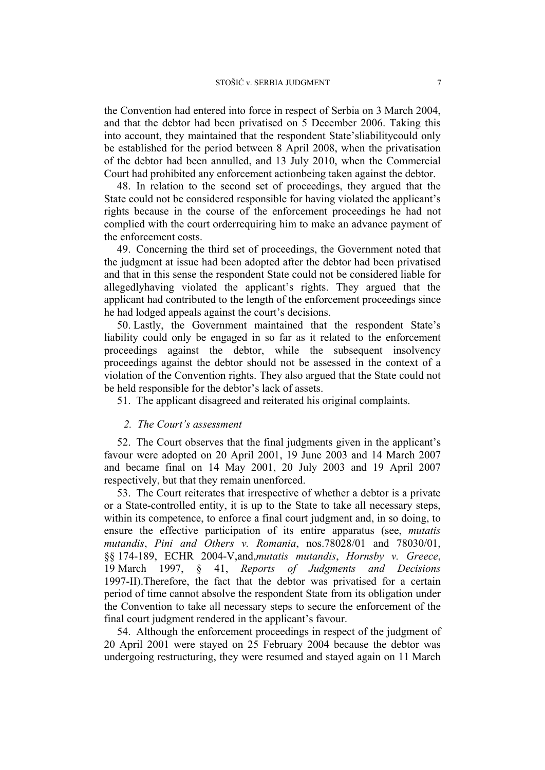the Convention had entered into force in respect of Serbia on 3 March 2004, and that the debtor had been privatised on 5 December 2006. Taking this into account, they maintained that the respondent State'sliabilitycould only be established for the period between 8 April 2008, when the privatisation of the debtor had been annulled, and 13 July 2010, when the Commercial Court had prohibited any enforcement actionbeing taken against the debtor.

48. In relation to the second set of proceedings, they argued that the State could not be considered responsible for having violated the applicant's rights because in the course of the enforcement proceedings he had not complied with the court orderrequiring him to make an advance payment of the enforcement costs.

49. Concerning the third set of proceedings, the Government noted that the judgment at issue had been adopted after the debtor had been privatised and that in this sense the respondent State could not be considered liable for allegedlyhaving violated the applicant's rights. They argued that the applicant had contributed to the length of the enforcement proceedings since he had lodged appeals against the court's decisions.

50. Lastly, the Government maintained that the respondent State's liability could only be engaged in so far as it related to the enforcement proceedings against the debtor, while the subsequent insolvency proceedings against the debtor should not be assessed in the context of a violation of the Convention rights. They also argued that the State could not be held responsible for the debtor's lack of assets.

51. The applicant disagreed and reiterated his original complaints.

### *2. The Court's assessment*

52. The Court observes that the final judgments given in the applicant's favour were adopted on 20 April 2001, 19 June 2003 and 14 March 2007 and became final on 14 May 2001, 20 July 2003 and 19 April 2007 respectively, but that they remain unenforced.

53. The Court reiterates that irrespective of whether a debtor is a private or a State-controlled entity, it is up to the State to take all necessary steps, within its competence, to enforce a final court judgment and, in so doing, to ensure the effective participation of its entire apparatus (see, *mutatis mutandis*, *Pini and Others v. Romania*, nos.78028/01 and 78030/01, §§ 174-189, ECHR 2004-V,and,*mutatis mutandis*, *Hornsby v. Greece*, 19 March 1997, § 41, *Reports of Judgments and Decisions* 1997-II).Therefore, the fact that the debtor was privatised for a certain period of time cannot absolve the respondent State from its obligation under the Convention to take all necessary steps to secure the enforcement of the final court judgment rendered in the applicant's favour.

54. Although the enforcement proceedings in respect of the judgment of 20 April 2001 were stayed on 25 February 2004 because the debtor was undergoing restructuring, they were resumed and stayed again on 11 March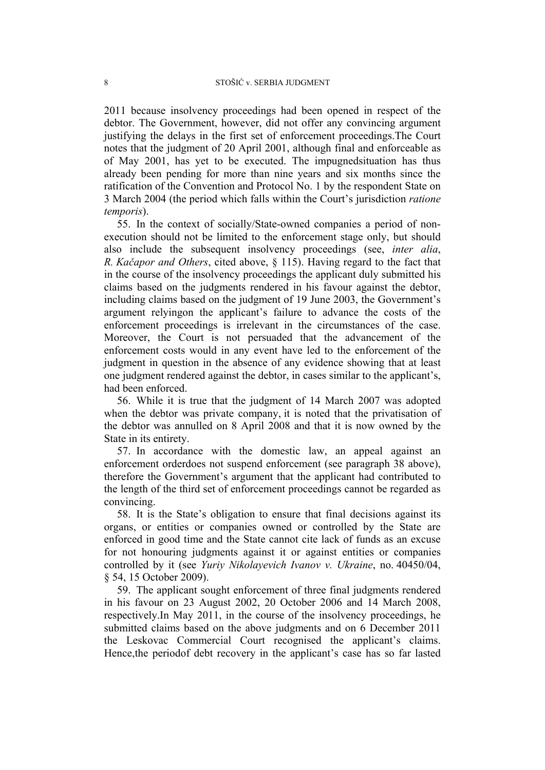2011 because insolvency proceedings had been opened in respect of the debtor. The Government, however, did not offer any convincing argument justifying the delays in the first set of enforcement proceedings.The Court notes that the judgment of 20 April 2001, although final and enforceable as of May 2001, has yet to be executed. The impugnedsituation has thus already been pending for more than nine years and six months since the ratification of the Convention and Protocol No. 1 by the respondent State on 3 March 2004 (the period which falls within the Court's jurisdiction *ratione temporis*).

55. In the context of socially/State-owned companies a period of nonexecution should not be limited to the enforcement stage only, but should also include the subsequent insolvency proceedings (see, *inter alia*, *R. Kačapor and Others*, cited above, § 115). Having regard to the fact that in the course of the insolvency proceedings the applicant duly submitted his claims based on the judgments rendered in his favour against the debtor, including claims based on the judgment of 19 June 2003, the Government's argument relyingon the applicant's failure to advance the costs of the enforcement proceedings is irrelevant in the circumstances of the case. Moreover, the Court is not persuaded that the advancement of the enforcement costs would in any event have led to the enforcement of the judgment in question in the absence of any evidence showing that at least one judgment rendered against the debtor, in cases similar to the applicant's, had been enforced.

56. While it is true that the judgment of 14 March 2007 was adopted when the debtor was private company, it is noted that the privatisation of the debtor was annulled on 8 April 2008 and that it is now owned by the State in its entirety.

57. In accordance with the domestic law, an appeal against an enforcement orderdoes not suspend enforcement (see paragraph 38 above), therefore the Government's argument that the applicant had contributed to the length of the third set of enforcement proceedings cannot be regarded as convincing.

58. It is the State's obligation to ensure that final decisions against its organs, or entities or companies owned or controlled by the State are enforced in good time and the State cannot cite lack of funds as an excuse for not honouring judgments against it or against entities or companies controlled by it (see *Yuriy Nikolayevich Ivanov v. Ukraine*, no. 40450/04, § 54, 15 October 2009).

59. The applicant sought enforcement of three final judgments rendered in his favour on 23 August 2002, 20 October 2006 and 14 March 2008, respectively.In May 2011, in the course of the insolvency proceedings, he submitted claims based on the above judgments and on 6 December 2011 the Leskovac Commercial Court recognised the applicant's claims. Hence,the periodof debt recovery in the applicant's case has so far lasted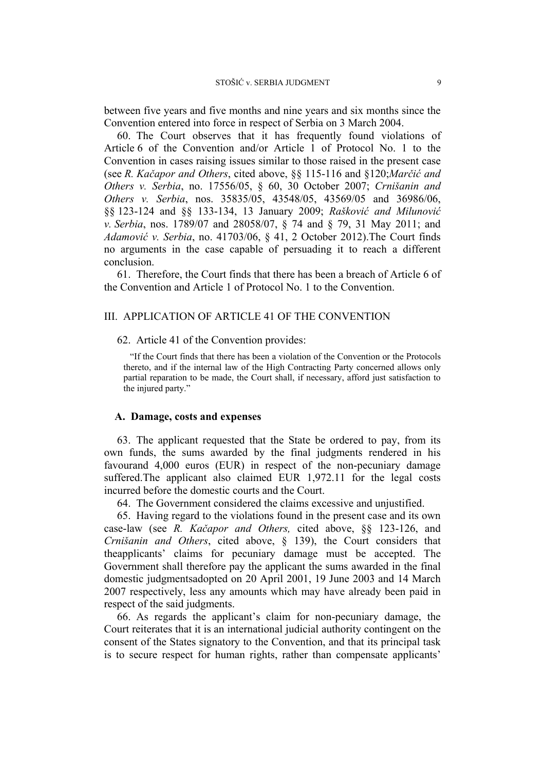between five years and five months and nine years and six months since the Convention entered into force in respect of Serbia on 3 March 2004.

60. The Court observes that it has frequently found violations of Article 6 of the Convention and/or Article 1 of Protocol No. 1 to the Convention in cases raising issues similar to those raised in the present case (see *R. Kačapor and Others*, cited above, §§ 115-116 and §120;*Marčić and Others v. Serbia*, no. 17556/05, § 60, 30 October 2007; *Crnišanin and Others v. Serbia*, nos. 35835/05, 43548/05, 43569/05 and 36986/06, §§ 123-124 and §§ 133-134, 13 January 2009; *Rašković and Milunović v. Serbia*, nos. 1789/07 and 28058/07, § 74 and § 79, 31 May 2011; and *Adamović v. Serbia*, no. 41703/06, § 41, 2 October 2012).The Court finds no arguments in the case capable of persuading it to reach a different conclusion.

61. Therefore, the Court finds that there has been a breach of Article 6 of the Convention and Article 1 of Protocol No. 1 to the Convention.

# III. APPLICATION OF ARTICLE 41 OF THE CONVENTION

#### 62. Article 41 of the Convention provides:

"If the Court finds that there has been a violation of the Convention or the Protocols thereto, and if the internal law of the High Contracting Party concerned allows only partial reparation to be made, the Court shall, if necessary, afford just satisfaction to the injured party."

# **A. Damage, costs and expenses**

63. The applicant requested that the State be ordered to pay, from its own funds, the sums awarded by the final judgments rendered in his favourand 4,000 euros (EUR) in respect of the non-pecuniary damage suffered. The applicant also claimed EUR 1,972.11 for the legal costs incurred before the domestic courts and the Court.

64. The Government considered the claims excessive and unjustified.

65. Having regard to the violations found in the present case and its own case-law (see *R. Kačapor and Others,* cited above, §§ 123-126, and *Crnišanin and Others*, cited above, § 139), the Court considers that theapplicants' claims for pecuniary damage must be accepted. The Government shall therefore pay the applicant the sums awarded in the final domestic judgmentsadopted on 20 April 2001, 19 June 2003 and 14 March 2007 respectively, less any amounts which may have already been paid in respect of the said judgments.

66. As regards the applicant's claim for non-pecuniary damage, the Court reiterates that it is an international judicial authority contingent on the consent of the States signatory to the Convention, and that its principal task is to secure respect for human rights, rather than compensate applicants'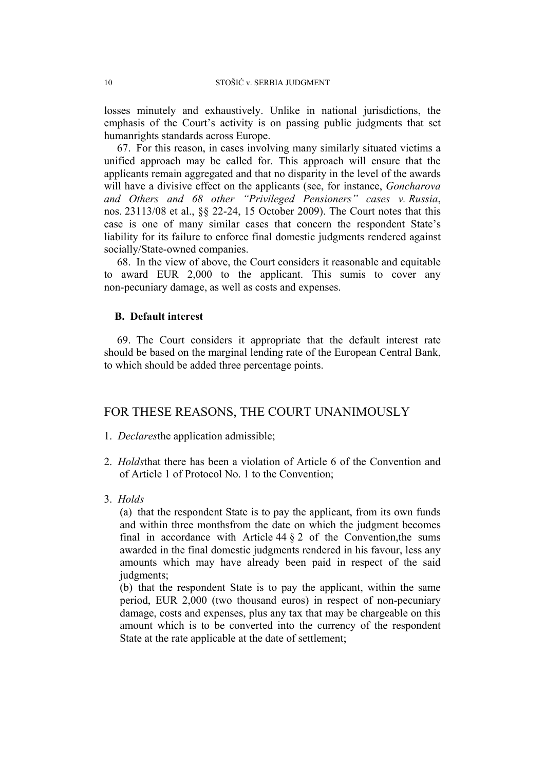losses minutely and exhaustively. Unlike in national jurisdictions, the emphasis of the Court's activity is on passing public judgments that set humanrights standards across Europe.

67. For this reason, in cases involving many similarly situated victims a unified approach may be called for. This approach will ensure that the applicants remain aggregated and that no disparity in the level of the awards will have a divisive effect on the applicants (see, for instance, *Goncharova and Others and 68 other "Privileged Pensioners" cases v. Russia*, nos. 23113/08 et al., §§ 22-24, 15 October 2009). The Court notes that this case is one of many similar cases that concern the respondent State's liability for its failure to enforce final domestic judgments rendered against socially/State-owned companies.

68. In the view of above, the Court considers it reasonable and equitable to award EUR 2,000 to the applicant. This sumis to cover any non-pecuniary damage, as well as costs and expenses.

# **B. Default interest**

69. The Court considers it appropriate that the default interest rate should be based on the marginal lending rate of the European Central Bank, to which should be added three percentage points.

# FOR THESE REASONS, THE COURT UNANIMOUSLY

- 1. *Declares*the application admissible;
- 2. *Holds*that there has been a violation of Article 6 of the Convention and of Article 1 of Protocol No. 1 to the Convention;
- 3. *Holds*

(a) that the respondent State is to pay the applicant, from its own funds and within three monthsfrom the date on which the judgment becomes final in accordance with Article 44  $\S$  2 of the Convention, the sums awarded in the final domestic judgments rendered in his favour, less any amounts which may have already been paid in respect of the said judgments;

(b) that the respondent State is to pay the applicant, within the same period, EUR 2,000 (two thousand euros) in respect of non-pecuniary damage, costs and expenses, plus any tax that may be chargeable on this amount which is to be converted into the currency of the respondent State at the rate applicable at the date of settlement;